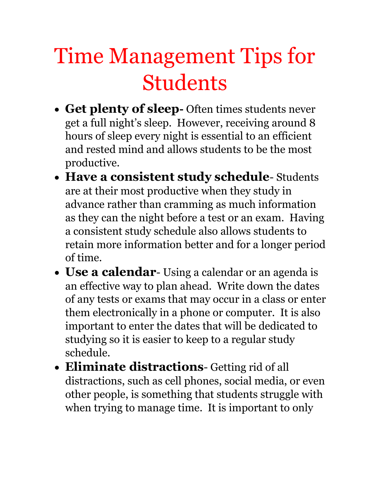## Time Management Tips for Students

- **Get plenty of sleep-** Often times students never get a full night's sleep. However, receiving around 8 hours of sleep every night is essential to an efficient and rested mind and allows students to be the most productive.
- **Have a consistent study schedule** Students are at their most productive when they study in advance rather than cramming as much information as they can the night before a test or an exam. Having a consistent study schedule also allows students to retain more information better and for a longer period of time.
- **Use a calendar** Using a calendar or an agenda is an effective way to plan ahead. Write down the dates of any tests or exams that may occur in a class or enter them electronically in a phone or computer. It is also important to enter the dates that will be dedicated to studying so it is easier to keep to a regular study schedule.
- **Eliminate distractions** Getting rid of all distractions, such as cell phones, social media, or even other people, is something that students struggle with when trying to manage time. It is important to only